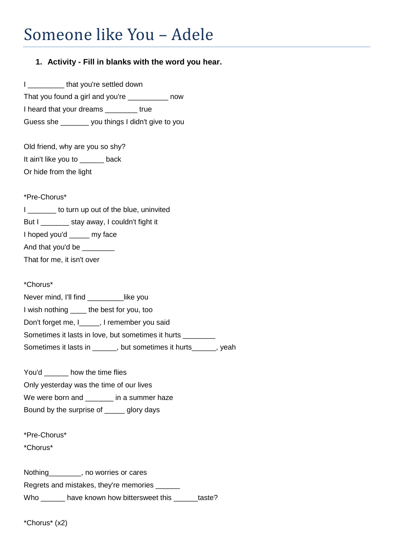## Someone like You – Adele

## **1. Activity - Fill in blanks with the word you hear.**

I contract that you're settled down That you found a girl and you're \_\_\_\_\_\_\_\_\_\_ now I heard that your dreams **we construct** true Guess she \_\_\_\_\_\_\_ you things I didn't give to you

Old friend, why are you so shy? It ain't like you to \_\_\_\_\_\_ back Or hide from the light

\*Pre-Chorus\* I \_\_\_\_\_\_\_ to turn up out of the blue, uninvited But I \_\_\_\_\_\_\_\_ stay away, I couldn't fight it I hoped you'd \_\_\_\_\_ my face And that you'd be \_\_\_\_\_\_\_\_\_ That for me, it isn't over

\*Chorus\* Never mind, I'll find \_\_\_\_\_\_\_\_\_like you I wish nothing \_\_\_\_ the best for you, too Don't forget me, I\_\_\_\_\_, I remember you said Sometimes it lasts in love, but sometimes it hurts Sometimes it lasts in \_\_\_\_\_\_, but sometimes it hurts\_\_\_\_\_\_, yeah

You'd **how the time flies** Only yesterday was the time of our lives We were born and \_\_\_\_\_\_\_ in a summer haze Bound by the surprise of \_\_\_\_\_ glory days

\*Pre-Chorus\* \*Chorus\* Nothing\_\_\_\_\_\_\_\_, no worries or cares Regrets and mistakes, they're memories \_\_\_\_\_\_ Who have known how bittersweet this taste?

\*Chorus\* (x2)